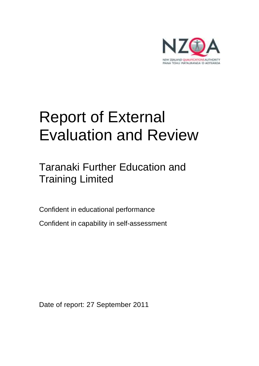

# Report of External Evaluation and Review

## Taranaki Further Education and Training Limited

Confident in educational performance

Confident in capability in self-assessment

Date of report: 27 September 2011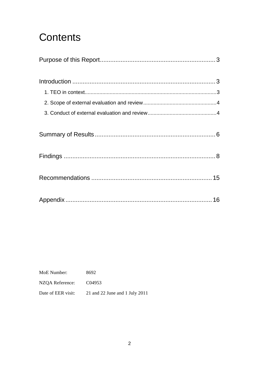## **Contents**

| MoE Number:        | 8692                           |
|--------------------|--------------------------------|
| NZQA Reference:    | C <sub>04953</sub>             |
| Date of EER visit: | 21 and 22 June and 1 July 2011 |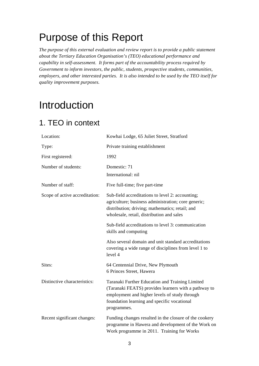## Purpose of this Report

*The purpose of this external evaluation and review report is to provide a public statement about the Tertiary Education Organisation's (TEO) educational performance and capability in self-assessment. It forms part of the accountability process required by Government to inform investors, the public, students, prospective students, communities, employers, and other interested parties. It is also intended to be used by the TEO itself for quality improvement purposes.* 

## Introduction

### 1. TEO in context

| Location:                      | Kowhai Lodge, 65 Juliet Street, Stratford                                                                                                                                                                              |
|--------------------------------|------------------------------------------------------------------------------------------------------------------------------------------------------------------------------------------------------------------------|
| Type:                          | Private training establishment                                                                                                                                                                                         |
| First registered:              | 1992                                                                                                                                                                                                                   |
| Number of students:            | Domestic: 71<br>International: nil                                                                                                                                                                                     |
| Number of staff:               | Five full-time; five part-time                                                                                                                                                                                         |
| Scope of active accreditation: | Sub-field accreditations to level 2: accounting;<br>agriculture; business administration; core generic;<br>distribution; driving; mathematics; retail; and<br>wholesale, retail, distribution and sales                |
|                                | Sub-field accreditations to level 3: communication<br>skills and computing                                                                                                                                             |
|                                | Also several domain and unit standard accreditations<br>covering a wide range of disciplines from level 1 to<br>level 4                                                                                                |
| Sites:                         | 64 Centennial Drive, New Plymouth<br>6 Princes Street, Hawera                                                                                                                                                          |
| Distinctive characteristics:   | Taranaki Further Education and Training Limited<br>(Taranaki FEATS) provides learners with a pathway to<br>employment and higher levels of study through<br>foundation learning and specific vocational<br>programmes. |
| Recent significant changes:    | Funding changes resulted in the closure of the cookery<br>programme in Hawera and development of the Work on<br>Work programme in 2011. Training for Works                                                             |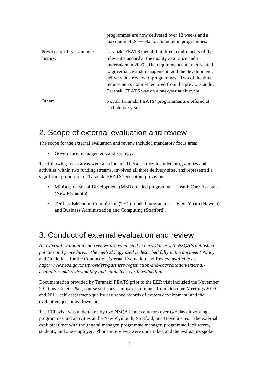|                                        | programmes are now delivered over 13 weeks and a<br>maximum of 26 weeks for foundation programmes.                                                                                                                                                                                                                                                                                       |
|----------------------------------------|------------------------------------------------------------------------------------------------------------------------------------------------------------------------------------------------------------------------------------------------------------------------------------------------------------------------------------------------------------------------------------------|
| Previous quality assurance<br>history: | Taranaki FEATS met all but three requirements of the<br>relevant standard at the quality assurance audit<br>undertaken in 2009. The requirements not met related<br>to governance and management, and the development,<br>delivery and review of programmes. Two of the three<br>requirements not met recurred from the previous audit.<br>Taranaki FEATS was on a one-year audit cycle. |
| Other:                                 | Not all Taranaki FEATS' programmes are offered at<br>each delivery site.                                                                                                                                                                                                                                                                                                                 |

### 2. Scope of external evaluation and review

The scope for the external evaluation and review included mandatory focus area:

• Governance, management, and strategy.

The following focus areas were also included because they included programmes and activities within two funding streams, involved all three delivery sites, and represented a significant proportion of Taranaki FEATS' education provision:

- Ministry of Social Development (MSD) funded programme Health Care Assistant (New Plymouth)
- Tertiary Education Commission (TEC) funded programmes Flexi Youth (Hawera) and Business Administration and Computing (Stratford).

### 3. Conduct of external evaluation and review

*All external evaluation and reviews are conducted in accordance with NZQA's published policies and procedures. The methodology used is described fully in the document* Policy and Guidelines for the Conduct of External Evaluation and Review *available at: http://www.nzqa.govt.nz/providers-partners/registration-and-accreditation/externalevaluation-and-review/policy-and-guidelines-eer/introduction/* 

Documentation provided by Taranaki FEATS prior to the EER visit included the November 2010 Investment Plan, course statistics summaries, minutes from Outcome Meetings 2010 and 2011, self-assessment/quality assurance records of system development, and the evaluative questions flowchart.

The EER visit was undertaken by two NZQA lead evaluators over two days involving programmes and activities at the New Plymouth, Stratford, and Hawera sites. The external evaluators met with the general manager, programme manager, programme facilitators, students, and one employer. Phone interviews were undertaken and the evaluators spoke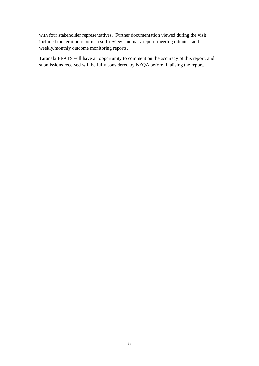with four stakeholder representatives. Further documentation viewed during the visit included moderation reports, a self-review summary report, meeting minutes, and weekly/monthly outcome monitoring reports.

Taranaki FEATS will have an opportunity to comment on the accuracy of this report, and submissions received will be fully considered by NZQA before finalising the report.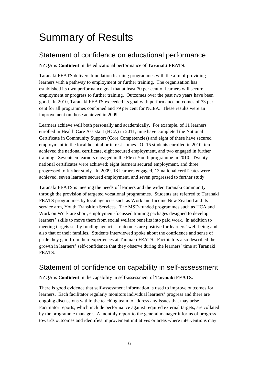## Summary of Results

### Statement of confidence on educational performance

NZQA is **Confident** in the educational performance of **Taranaki FEATS**.

Taranaki FEATS delivers foundation learning programmes with the aim of providing learners with a pathway to employment or further training. The organisation has established its own performance goal that at least 70 per cent of learners will secure employment or progress to further training. Outcomes over the past two years have been good. In 2010, Taranaki FEATS exceeded its goal with performance outcomes of 73 per cent for all programmes combined and 79 per cent for NCEA. These results were an improvement on those achieved in 2009.

Learners achieve well both personally and academically. For example, of 11 learners enrolled in Health Care Assistant (HCA) in 2011, nine have completed the National Certificate in Community Support (Core Competencies) and eight of these have secured employment in the local hospital or in rest homes. Of 15 students enrolled in 2010, ten achieved the national certificate, eight secured employment, and two engaged in further training. Seventeen learners engaged in the Flexi Youth programme in 2010. Twenty national certificates were achieved; eight learners secured employment, and three progressed to further study. In 2009, 18 learners engaged, 13 national certificates were achieved, seven learners secured employment, and seven progressed to further study.

Taranaki FEATS is meeting the needs of learners and the wider Taranaki community through the provision of targeted vocational programmes. Students are referred to Taranaki FEATS programmes by local agencies such as Work and Income New Zealand and its service arm, Youth Transition Services. The MSD-funded programmes such as HCA and Work on Work are short, employment-focussed training packages designed to develop learners' skills to move them from social welfare benefits into paid work. In addition to meeting targets set by funding agencies, outcomes are positive for learners' well-being and also that of their families. Students interviewed spoke about the confidence and sense of pride they gain from their experiences at Taranaki FEATS. Facilitators also described the growth in learners' self-confidence that they observe during the learners' time at Taranaki FEATS.

### Statement of confidence on capability in self-assessment

#### NZQA is **Confident** in the capability in self-assessment of **Taranaki FEATS**.

There is good evidence that self-assessment information is used to improve outcomes for learners. Each facilitator regularly monitors individual learners' progress and there are ongoing discussions within the teaching team to address any issues that may arise. Facilitator reports, which include performance against required external targets, are collated by the programme manager. A monthly report to the general manager informs of progress towards outcomes and identifies improvement initiatives or areas where interventions may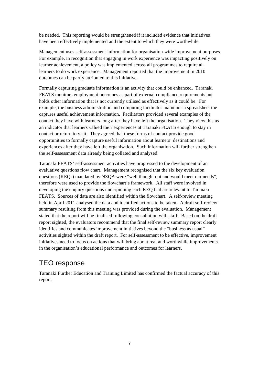be needed. This reporting would be strengthened if it included evidence that initiatives have been effectively implemented and the extent to which they were worthwhile.

Management uses self-assessment information for organisation-wide improvement purposes. For example, in recognition that engaging in work experience was impacting positively on learner achievement, a policy was implemented across all programmes to require all learners to do work experience. Management reported that the improvement in 2010 outcomes can be partly attributed to this initiative.

Formally capturing graduate information is an activity that could be enhanced. Taranaki FEATS monitors employment outcomes as part of external compliance requirements but holds other information that is not currently utilised as effectively as it could be. For example, the business administration and computing facilitator maintains a spreadsheet the captures useful achievement information. Facilitators provided several examples of the contact they have with learners long after they have left the organisation. They view this as an indicator that learners valued their experiences at Taranaki FEATS enough to stay in contact or return to visit. They agreed that these forms of contact provide good opportunities to formally capture useful information about learners' destinations and experiences after they have left the organisation. Such information will further strengthen the self-assessment data already being collated and analysed.

Taranaki FEATS' self-assessment activities have progressed to the development of an evaluative questions flow chart. Management recognised that the six key evaluation questions (KEQs) mandated by NZQA were "well thought out and would meet our needs", therefore were used to provide the flowchart's framework. All staff were involved in developing the enquiry questions underpinning each KEQ that are relevant to Taranaki FEATS. Sources of data are also identified within the flowchart. A self-review meeting held in April 2011 analysed the data and identified actions to be taken. A draft self-review summary resulting from this meeting was provided during the evaluation. Management stated that the report will be finalised following consultation with staff. Based on the draft report sighted, the evaluators recommend that the final self-review summary report clearly identifies and communicates improvement initiatives beyond the "business as usual" activities sighted within the draft report. For self-assessment to be effective, improvement initiatives need to focus on actions that will bring about real and worthwhile improvements in the organisation's educational performance and outcomes for learners.

### TEO response

Taranaki Further Education and Training Limited has confirmed the factual accuracy of this report.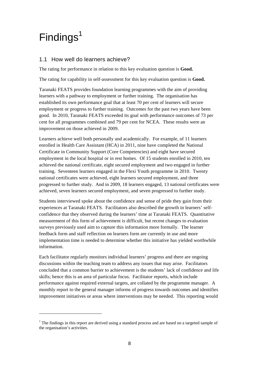## $Findings<sup>1</sup>$

 $\overline{a}$ 

#### 1.1 How well do learners achieve?

The rating for performance in relation to this key evaluation question is **Good.**

The rating for capability in self-assessment for this key evaluation question is **Good.**

Taranaki FEATS provides foundation learning programmes with the aim of providing learners with a pathway to employment or further training. The organisation has established its own performance goal that at least 70 per cent of learners will secure employment or progress to further training. Outcomes for the past two years have been good. In 2010, Taranaki FEATS exceeded its goal with performance outcomes of 73 per cent for all programmes combined and 79 per cent for NCEA. These results were an improvement on those achieved in 2009.

Learners achieve well both personally and academically. For example, of 11 learners enrolled in Health Care Assistant (HCA) in 2011, nine have completed the National Certificate in Community Support (Core Competencies) and eight have secured employment in the local hospital or in rest homes. Of 15 students enrolled in 2010, ten achieved the national certificate, eight secured employment and two engaged in further training. Seventeen learners engaged in the Flexi Youth programme in 2010. Twenty national certificates were achieved, eight learners secured employment, and three progressed to further study. And in 2009, 18 learners engaged, 13 national certificates were achieved, seven learners secured employment, and seven progressed to further study.

Students interviewed spoke about the confidence and sense of pride they gain from their experiences at Taranaki FEATS. Facilitators also described the growth in learners' selfconfidence that they observed during the learners' time at Taranaki FEATS. Quantitative measurement of this form of achievement is difficult, but recent changes to evaluation surveys previously used aim to capture this information more formally. The learner feedback form and staff reflection on learners form are currently in use and more implementation time is needed to determine whether this initiative has yielded worthwhile information.

Each facilitator regularly monitors individual learners' progress and there are ongoing discussions within the teaching team to address any issues that may arise. Facilitators concluded that a common barrier to achievement is the students' lack of confidence and life skills; hence this is an area of particular focus. Facilitator reports, which include performance against required external targets, are collated by the programme manager. A monthly report to the general manager informs of progress towards outcomes and identifies improvement initiatives or areas where interventions may be needed. This reporting would

 $1$  The findings in this report are derived using a standard process and are based on a targeted sample of the organisation's activities.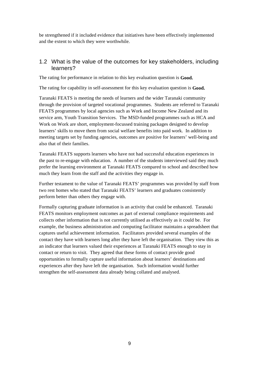be strengthened if it included evidence that initiatives have been effectively implemented and the extent to which they were worthwhile.

#### 1.2 What is the value of the outcomes for key stakeholders, including learners?

The rating for performance in relation to this key evaluation question is **Good.**

The rating for capability in self-assessment for this key evaluation question is **Good.**

Taranaki FEATS is meeting the needs of learners and the wider Taranaki community through the provision of targeted vocational programmes. Students are referred to Taranaki FEATS programmes by local agencies such as Work and Income New Zealand and its service arm, Youth Transition Services. The MSD-funded programmes such as HCA and Work on Work are short, employment-focussed training packages designed to develop learners' skills to move them from social welfare benefits into paid work. In addition to meeting targets set by funding agencies, outcomes are positive for learners' well-being and also that of their families.

Taranaki FEATS supports learners who have not had successful education experiences in the past to re-engage with education. A number of the students interviewed said they much prefer the learning environment at Taranaki FEATS compared to school and described how much they learn from the staff and the activities they engage in.

Further testament to the value of Taranaki FEATS' programmes was provided by staff from two rest homes who stated that Taranaki FEATS' learners and graduates consistently perform better than others they engage with.

Formally capturing graduate information is an activity that could be enhanced. Taranaki FEATS monitors employment outcomes as part of external compliance requirements and collects other information that is not currently utilised as effectively as it could be. For example, the business administration and computing facilitator maintains a spreadsheet that captures useful achievement information. Facilitators provided several examples of the contact they have with learners long after they have left the organisation. They view this as an indicator that learners valued their experiences at Taranaki FEATS enough to stay in contact or return to visit. They agreed that these forms of contact provide good opportunities to formally capture useful information about learners' destinations and experiences after they have left the organisation. Such information would further strengthen the self-assessment data already being collated and analysed.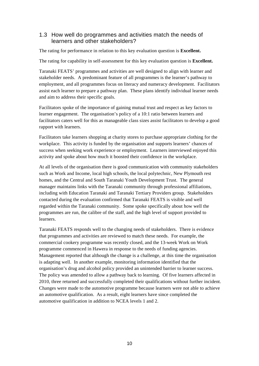#### 1.3 How well do programmes and activities match the needs of learners and other stakeholders?

The rating for performance in relation to this key evaluation question is **Excellent.**

The rating for capability in self-assessment for this key evaluation question is **Excellent.**

Taranaki FEATS' programmes and activities are well designed to align with learner and stakeholder needs. A predominant feature of all programmes is the learner's pathway to employment, and all programmes focus on literacy and numeracy development. Facilitators assist each learner to prepare a pathway plan. These plans identify individual learner needs and aim to address their specific goals.

Facilitators spoke of the importance of gaining mutual trust and respect as key factors to learner engagement. The organisation's policy of a 10:1 ratio between learners and facilitators caters well for this as manageable class sizes assist facilitators to develop a good rapport with learners.

Facilitators take learners shopping at charity stores to purchase appropriate clothing for the workplace. This activity is funded by the organisation and supports learners' chances of success when seeking work experience or employment. Learners interviewed enjoyed this activity and spoke about how much it boosted their confidence in the workplace.

At all levels of the organisation there is good communication with community stakeholders such as Work and Income, local high schools, the local polytechnic, New Plymouth rest homes, and the Central and South Taranaki Youth Development Trust. The general manager maintains links with the Taranaki community through professional affiliations, including with Education Taranaki and Taranaki Tertiary Providers group. Stakeholders contacted during the evaluation confirmed that Taranaki FEATS is visible and well regarded within the Taranaki community. Some spoke specifically about how well the programmes are run, the calibre of the staff, and the high level of support provided to learners.

Taranaki FEATS responds well to the changing needs of stakeholders. There is evidence that programmes and activities are reviewed to match these needs. For example, the commercial cookery programme was recently closed, and the 13-week Work on Work programme commenced in Hawera in response to the needs of funding agencies. Management reported that although the change is a challenge, at this time the organisation is adapting well. In another example, monitoring information identified that the organisation's drug and alcohol policy provided an unintended barrier to learner success. The policy was amended to allow a pathway back to learning. Of five learners affected in 2010, three returned and successfully completed their qualifications without further incident. Changes were made to the automotive programme because learners were not able to achieve an automotive qualification. As a result, eight learners have since completed the automotive qualification in addition to NCEA levels 1 and 2.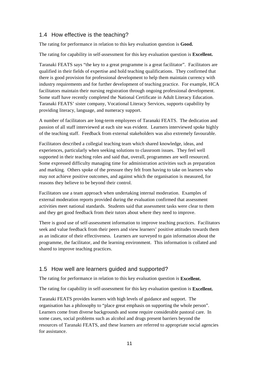#### 1.4 How effective is the teaching?

The rating for performance in relation to this key evaluation question is **Good.**

The rating for capability in self-assessment for this key evaluation question is **Excellent.**

Taranaki FEATS says "the key to a great programme is a great facilitator". Facilitators are qualified in their fields of expertise and hold teaching qualifications. They confirmed that there is good provision for professional development to help them maintain currency with industry requirements and for further development of teaching practice. For example, HCA facilitators maintain their nursing registration through ongoing professional development. Some staff have recently completed the National Certificate in Adult Literacy Education. Taranaki FEATS' sister company, Vocational Literacy Services, supports capability by providing literacy, language, and numeracy support.

A number of facilitators are long-term employees of Taranaki FEATS. The dedication and passion of all staff interviewed at each site was evident. Learners interviewed spoke highly of the teaching staff. Feedback from external stakeholders was also extremely favourable.

Facilitators described a collegial teaching team which shared knowledge, ideas, and experiences, particularly when seeking solutions to classroom issues. They feel well supported in their teaching roles and said that, overall, programmes are well resourced. Some expressed difficulty managing time for administration activities such as preparation and marking. Others spoke of the pressure they felt from having to take on learners who may not achieve positive outcomes, and against which the organisation is measured, for reasons they believe to be beyond their control.

Facilitators use a team approach when undertaking internal moderation. Examples of external moderation reports provided during the evaluation confirmed that assessment activities meet national standards. Students said that assessment tasks were clear to them and they get good feedback from their tutors about where they need to improve.

There is good use of self-assessment information to improve teaching practices. Facilitators seek and value feedback from their peers and view learners' positive attitudes towards them as an indicator of their effectiveness. Learners are surveyed to gain information about the programme, the facilitator, and the learning environment. This information is collated and shared to improve teaching practices.

#### 1.5 How well are learners guided and supported?

The rating for performance in relation to this key evaluation question is **Excellent.**

The rating for capability in self-assessment for this key evaluation question is **Excellent.**

Taranaki FEATS provides learners with high levels of guidance and support. The organisation has a philosophy to "place great emphasis on supporting the whole person". Learners come from diverse backgrounds and some require considerable pastoral care. In some cases, social problems such as alcohol and drugs present barriers beyond the resources of Taranaki FEATS, and these learners are referred to appropriate social agencies for assistance.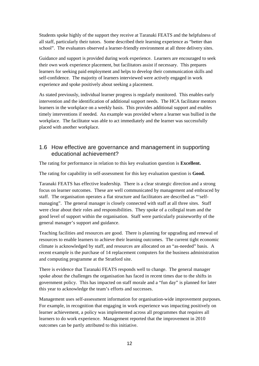Students spoke highly of the support they receive at Taranaki FEATS and the helpfulness of all staff, particularly their tutors. Some described their learning experience as "better than school". The evaluators observed a learner-friendly environment at all three delivery sites.

Guidance and support is provided during work experience. Learners are encouraged to seek their own work experience placement, but facilitators assist if necessary. This prepares learners for seeking paid employment and helps to develop their communication skills and self-confidence. The majority of learners interviewed were actively engaged in work experience and spoke positively about seeking a placement.

As stated previously, individual learner progress is regularly monitored. This enables early intervention and the identification of additional support needs. The HCA facilitator mentors learners in the workplace on a weekly basis. This provides additional support and enables timely interventions if needed. An example was provided where a learner was bullied in the workplace. The facilitator was able to act immediately and the learner was successfully placed with another workplace.

#### 1.6 How effective are governance and management in supporting educational achievement?

The rating for performance in relation to this key evaluation question is **Excellent.**

The rating for capability in self-assessment for this key evaluation question is **Good.**

Taranaki FEATS has effective leadership. There is a clear strategic direction and a strong focus on learner outcomes. These are well communicated by management and embraced by staff. The organisation operates a flat structure and facilitators are described as "'selfmanaging". The general manager is closely connected with staff at all three sites. Staff were clear about their roles and responsibilities. They spoke of a collegial team and the good level of support within the organisation. Staff were particularly praiseworthy of the general manager's support and guidance.

Teaching facilities and resources are good. There is planning for upgrading and renewal of resources to enable learners to achieve their learning outcomes. The current tight economic climate is acknowledged by staff, and resources are allocated on an "as-needed" basis. A recent example is the purchase of 14 replacement computers for the business administration and computing programme at the Stratford site.

There is evidence that Taranaki FEATS responds well to change. The general manager spoke about the challenges the organisation has faced in recent times due to the shifts in government policy. This has impacted on staff morale and a "fun day" is planned for later this year to acknowledge the team's efforts and successes.

Management uses self-assessment information for organisation-wide improvement purposes. For example, in recognition that engaging in work experience was impacting positively on learner achievement, a policy was implemented across all programmes that requires all learners to do work experience. Management reported that the improvement in 2010 outcomes can be partly attributed to this initiative.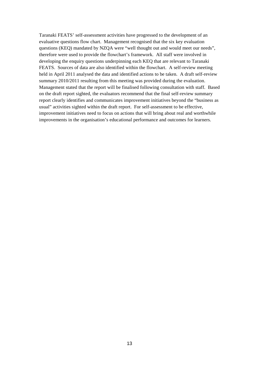Taranaki FEATS' self-assessment activities have progressed to the development of an evaluative questions flow chart. Management recognised that the six key evaluation questions (KEQ) mandated by NZQA were "well thought out and would meet our needs", therefore were used to provide the flowchart's framework. All staff were involved in developing the enquiry questions underpinning each KEQ that are relevant to Taranaki FEATS. Sources of data are also identified within the flowchart. A self-review meeting held in April 2011 analysed the data and identified actions to be taken. A draft self-review summary 2010/2011 resulting from this meeting was provided during the evaluation. Management stated that the report will be finalised following consultation with staff. Based on the draft report sighted, the evaluators recommend that the final self-review summary report clearly identifies and communicates improvement initiatives beyond the "business as usual" activities sighted within the draft report. For self-assessment to be effective, improvement initiatives need to focus on actions that will bring about real and worthwhile improvements in the organisation's educational performance and outcomes for learners.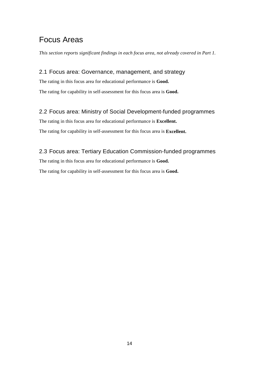### Focus Areas

*This section reports significant findings in each focus area, not already covered in Part 1.* 

#### 2.1 Focus area: Governance, management, and strategy

The rating in this focus area for educational performance is **Good.** The rating for capability in self-assessment for this focus area is **Good.** 

#### 2.2 Focus area: Ministry of Social Development-funded programmes

The rating in this focus area for educational performance is **Excellent.** The rating for capability in self-assessment for this focus area is **Excellent.** 

2.3 Focus area: Tertiary Education Commission-funded programmes The rating in this focus area for educational performance is **Good.** The rating for capability in self-assessment for this focus area is **Good.**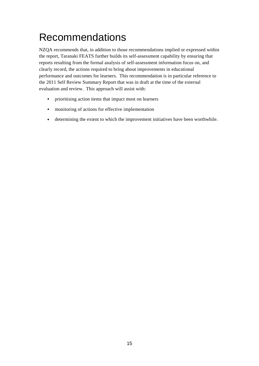## Recommendations

NZQA recommends that, in addition to those recommendations implied or expressed within the report, Taranaki FEATS further builds its self-assessment capability by ensuring that reports resulting from the formal analysis of self-assessment information focus on, and clearly record, the actions required to bring about improvements in educational performance and outcomes for learners. This recommendation is in particular reference to the 2011 Self Review Summary Report that was in draft at the time of the external evaluation and review. This approach will assist with:

- prioritising action items that impact most on learners
- monitoring of actions for effective implementation
- determining the extent to which the improvement initiatives have been worthwhile.